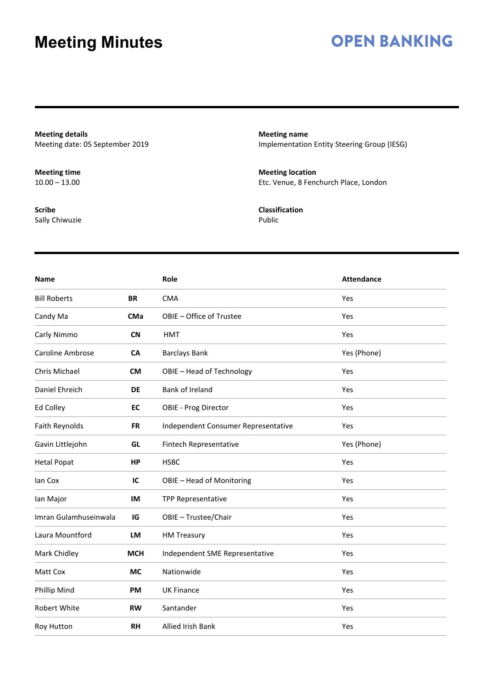### **OPEN BANKING**

**Meeting details** Meeting date: 05 September 2019

**Meeting time**  $10.00 - 13.00$ 

**Scribe** Sally Chiwuzie **Meeting name** Implementation Entity Steering Group (IESG)

**Meeting location** Etc. Venue, 8 Fenchurch Place, London

**Classification** Public

| <b>Name</b>             |            | Role                                | <b>Attendance</b> |
|-------------------------|------------|-------------------------------------|-------------------|
| <b>Bill Roberts</b>     | <b>BR</b>  | <b>CMA</b>                          | Yes               |
| Candy Ma                | <b>CMa</b> | OBIE - Office of Trustee            | Yes               |
| Carly Nimmo             | <b>CN</b>  | <b>HMT</b>                          | Yes               |
| <b>Caroline Ambrose</b> | <b>CA</b>  | <b>Barclays Bank</b>                | Yes (Phone)       |
| Chris Michael           | <b>CM</b>  | OBIE - Head of Technology           | Yes               |
| Daniel Ehreich          | DE         | <b>Bank of Ireland</b>              | Yes               |
| Ed Colley               | <b>EC</b>  | <b>OBIE - Prog Director</b>         | Yes               |
| Faith Reynolds          | <b>FR</b>  | Independent Consumer Representative | Yes               |
| Gavin Littlejohn        | GL         | Fintech Representative              | Yes (Phone)       |
| <b>Hetal Popat</b>      | <b>HP</b>  | <b>HSBC</b>                         | Yes               |
| lan Cox                 | IС         | OBIE - Head of Monitoring           | Yes               |
| lan Major               | IM         | <b>TPP Representative</b>           | Yes               |
| Imran Gulamhuseinwala   | IG         | OBIE - Trustee/Chair                | Yes               |
| Laura Mountford         | LM         | <b>HM Treasury</b>                  | Yes               |
| Mark Chidley            | <b>MCH</b> | Independent SME Representative      | Yes               |
| Matt Cox                | <b>MC</b>  | Nationwide                          | Yes               |
| Phillip Mind            | <b>PM</b>  | <b>UK Finance</b>                   | Yes               |
| <b>Robert White</b>     | <b>RW</b>  | Santander                           | Yes               |
| Roy Hutton              | <b>RH</b>  | <b>Allied Irish Bank</b>            | Yes               |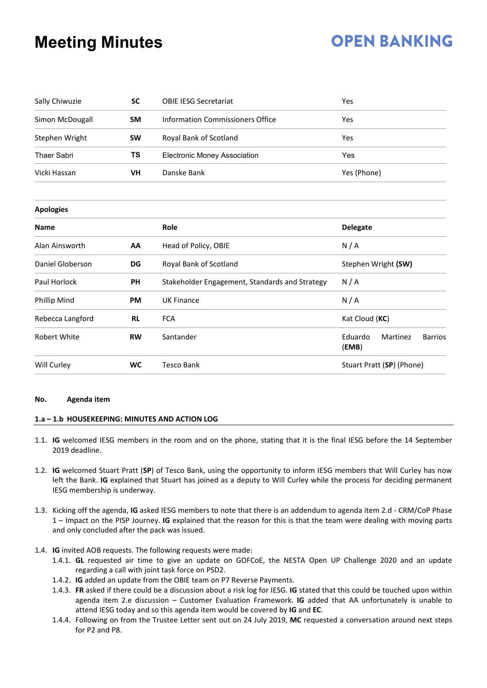# **OPEN BANKING**

| Sally Chiwuzie      | <b>SC</b> | <b>OBIE IESG Secretariat</b>                   | Yes                                            |  |  |
|---------------------|-----------|------------------------------------------------|------------------------------------------------|--|--|
| Simon McDougall     | <b>SM</b> | <b>Information Commissioners Office</b>        | Yes                                            |  |  |
| Stephen Wright      | <b>SW</b> | Royal Bank of Scotland                         | Yes                                            |  |  |
| <b>Thaer Sabri</b>  | TS        | <b>Electronic Money Association</b>            | Yes                                            |  |  |
| Vicki Hassan        | VH        | Danske Bank                                    | Yes (Phone)                                    |  |  |
| <b>Apologies</b>    |           |                                                |                                                |  |  |
| <b>Name</b>         |           | Role                                           | <b>Delegate</b>                                |  |  |
| Alan Ainsworth      | AA        | Head of Policy, OBIE                           | N/A                                            |  |  |
| Daniel Globerson    | DG        | Royal Bank of Scotland                         | Stephen Wright (SW)                            |  |  |
| Paul Horlock        | <b>PH</b> | Stakeholder Engagement, Standards and Strategy | N/A                                            |  |  |
| <b>Phillip Mind</b> | PM        | <b>UK Finance</b>                              | N/A                                            |  |  |
| Rebecca Langford    | <b>RL</b> | <b>FCA</b>                                     | Kat Cloud (KC)                                 |  |  |
| Robert White        | <b>RW</b> | Santander                                      | Eduardo<br>Martinez<br><b>Barrios</b><br>(EMB) |  |  |
| Will Curley         | <b>WC</b> | <b>Tesco Bank</b>                              | Stuart Pratt (SP) (Phone)                      |  |  |

#### **No. Agenda item**

#### **1.a – 1.b HOUSEKEEPING: MINUTES AND ACTION LOG**

- 1.1. **IG** welcomed IESG members in the room and on the phone, stating that it is the final IESG before the 14 September 2019 deadline.
- 1.2. **IG** welcomed Stuart Pratt (**SP**) of Tesco Bank, using the opportunity to inform IESG members that Will Curley has now left the Bank. **IG** explained that Stuart has joined as a deputy to Will Curley while the process for deciding permanent IESG membership is underway.
- 1.3. Kicking off the agenda, **IG** asked IESG members to note that there is an addendum to agenda item 2.d CRM/CoP Phase 1 – Impact on the PISP Journey. **IG** explained that the reason for this is that the team were dealing with moving parts and only concluded after the pack was issued.
- 1.4. **IG** invited AOB requests. The following requests were made:
	- 1.4.1. **GL** requested air time to give an update on GOFCoE, the NESTA Open UP Challenge 2020 and an update regarding a call with joint task force on PSD2.
	- 1.4.2. **IG** added an update from the OBIE team on P7 Reverse Payments.
	- 1.4.3. **FR** asked if there could be a discussion about a risk log for IESG. **IG** stated that this could be touched upon within agenda item 2.e discussion – Customer Evaluation Framework. **IG** added that AA unfortunately is unable to attend IESG today and so this agenda item would be covered by **IG** and **EC**.
	- 1.4.4. Following on from the Trustee Letter sent out on 24 July 2019, **MC** requested a conversation around next steps for P2 and P8.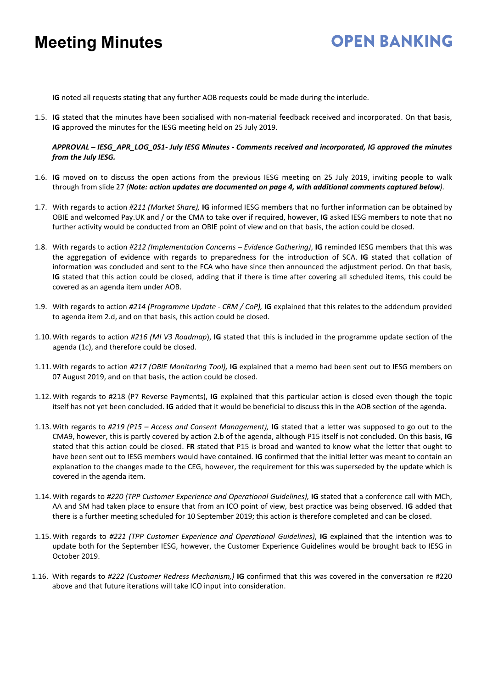# **OPEN BANKING**

**IG** noted all requests stating that any further AOB requests could be made during the interlude.

1.5. **IG** stated that the minutes have been socialised with non-material feedback received and incorporated. On that basis, **IG** approved the minutes for the IESG meeting held on 25 July 2019.

*APPROVAL – IESG\_APR\_LOG\_051- July IESG Minutes - Comments received and incorporated, IG approved the minutes from the July IESG.*

- 1.6. **IG** moved on to discuss the open actions from the previous IESG meeting on 25 July 2019, inviting people to walk through from slide 27 *(Note: action updates are documented on page 4, with additional comments captured below).*
- 1.7. With regards to action *#211 (Market Share),* **IG** informed IESG members that no further information can be obtained by OBIE and welcomed Pay.UK and / or the CMA to take over if required, however, **IG** asked IESG members to note that no further activity would be conducted from an OBIE point of view and on that basis, the action could be closed.
- 1.8. With regards to action *#212 (Implementation Concerns – Evidence Gathering)*, **IG** reminded IESG members that this was the aggregation of evidence with regards to preparedness for the introduction of SCA. **IG** stated that collation of information was concluded and sent to the FCA who have since then announced the adjustment period. On that basis, **IG** stated that this action could be closed, adding that if there is time after covering all scheduled items, this could be covered as an agenda item under AOB.
- 1.9. With regards to action *#214 (Programme Update - CRM / CoP),* **IG** explained that this relates to the addendum provided to agenda item 2.d, and on that basis, this action could be closed.
- 1.10.With regards to action *#216 (MI V3 Roadmap*), **IG** stated that this is included in the programme update section of the agenda (1c), and therefore could be closed.
- 1.11.With regards to action *#217 (OBIE Monitoring Tool),* **IG** explained that a memo had been sent out to IESG members on 07 August 2019, and on that basis, the action could be closed.
- 1.12.With regards to #218 (P7 Reverse Payments), **IG** explained that this particular action is closed even though the topic itself has not yet been concluded. **IG** added that it would be beneficial to discuss this in the AOB section of the agenda.
- 1.13.With regards to *#219 (P15 – Access and Consent Management),* **IG** stated that a letter was supposed to go out to the CMA9, however, this is partly covered by action 2.b of the agenda, although P15 itself is not concluded. On this basis, **IG** stated that this action could be closed. **FR** stated that P15 is broad and wanted to know what the letter that ought to have been sent out to IESG members would have contained. **IG** confirmed that the initial letter was meant to contain an explanation to the changes made to the CEG, however, the requirement for this was superseded by the update which is covered in the agenda item.
- 1.14.With regards to *#220 (TPP Customer Experience and Operational Guidelines),* **IG** stated that a conference call with MCh, AA and SM had taken place to ensure that from an ICO point of view, best practice was being observed. **IG** added that there is a further meeting scheduled for 10 September 2019; this action is therefore completed and can be closed.
- 1.15.With regards to *#221 (TPP Customer Experience and Operational Guidelines)*, **IG** explained that the intention was to update both for the September IESG, however, the Customer Experience Guidelines would be brought back to IESG in October 2019.
- 1.16. With regards to *#222 (Customer Redress Mechanism,)* **IG** confirmed that this was covered in the conversation re #220 above and that future iterations will take ICO input into consideration.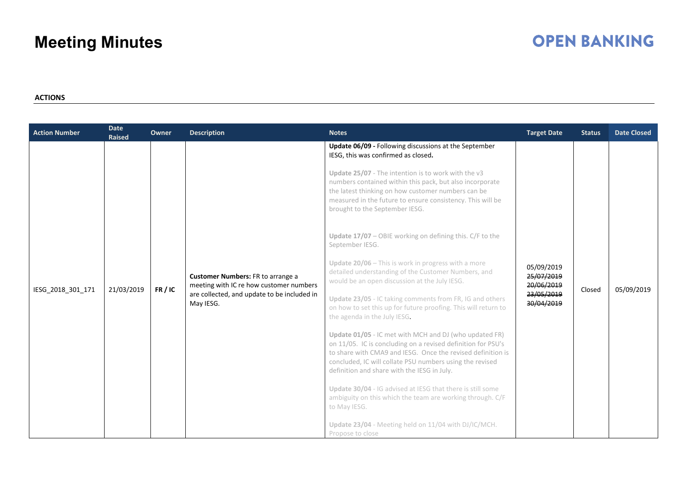## **OPEN BANKING**

#### **ACTIONS**

| Update 06/09 - Following discussions at the September<br>IESG, this was confirmed as closed.<br>Update 25/07 - The intention is to work with the v3<br>numbers contained within this pack, but also incorporate<br>the latest thinking on how customer numbers can be<br>measured in the future to ensure consistency. This will be                                                                                                                                                                                                                                                                                                                                                                                                                                                                                                                                                                                                                                                                                                                                                                                                                                                                | <b>Action Number</b> | <b>Date</b><br><b>Raised</b> | <b>Owner</b> | <b>Description</b> | <b>Notes</b>                   | <b>Target Date</b> | <b>Status</b> | <b>Date Closed</b> |
|----------------------------------------------------------------------------------------------------------------------------------------------------------------------------------------------------------------------------------------------------------------------------------------------------------------------------------------------------------------------------------------------------------------------------------------------------------------------------------------------------------------------------------------------------------------------------------------------------------------------------------------------------------------------------------------------------------------------------------------------------------------------------------------------------------------------------------------------------------------------------------------------------------------------------------------------------------------------------------------------------------------------------------------------------------------------------------------------------------------------------------------------------------------------------------------------------|----------------------|------------------------------|--------------|--------------------|--------------------------------|--------------------|---------------|--------------------|
| Update $17/07$ – OBIE working on defining this. C/F to the<br>September IESG.<br>Update $20/06$ – This is work in progress with a more<br>05/09/2019<br>detailed understanding of the Customer Numbers, and<br>25/07/2019<br><b>Customer Numbers: FR to arrange a</b><br>would be an open discussion at the July IESG.<br>20/06/2019<br>meeting with IC re how customer numbers<br>21/03/2019<br>FR/IC<br>IESG_2018_301_171<br>Closed<br>23/05/2019<br>are collected, and update to be included in<br>Update 23/05 - IC taking comments from FR, IG and others<br>30/04/2019<br>May IESG.<br>on how to set this up for future proofing. This will return to<br>the agenda in the July IESG.<br>Update 01/05 - IC met with MCH and DJ (who updated FR)<br>on 11/05. IC is concluding on a revised definition for PSU's<br>to share with CMA9 and IESG. Once the revised definition is<br>concluded, IC will collate PSU numbers using the revised<br>definition and share with the IESG in July.<br>Update 30/04 - IG advised at IESG that there is still some<br>ambiguity on this which the team are working through. C/F<br>to May IESG.<br>Update 23/04 - Meeting held on 11/04 with DJ/IC/MCH. |                      |                              |              |                    | brought to the September IESG. |                    |               | 05/09/2019         |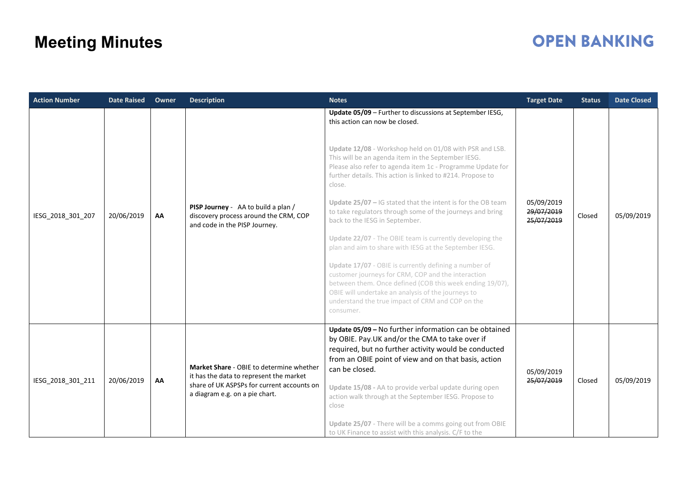| <b>Action Number</b> | <b>Date Raised</b> | Owner | <b>Description</b>                                                                                                                                                  | <b>Notes</b>                                                                                                                                                                                                                                                                                                                                                                                                                                                                                                                                                                                                                                                                                                                                                                                                                                                                                                                              | <b>Target Date</b>                     | <b>Status</b> | <b>Date Closed</b> |
|----------------------|--------------------|-------|---------------------------------------------------------------------------------------------------------------------------------------------------------------------|-------------------------------------------------------------------------------------------------------------------------------------------------------------------------------------------------------------------------------------------------------------------------------------------------------------------------------------------------------------------------------------------------------------------------------------------------------------------------------------------------------------------------------------------------------------------------------------------------------------------------------------------------------------------------------------------------------------------------------------------------------------------------------------------------------------------------------------------------------------------------------------------------------------------------------------------|----------------------------------------|---------------|--------------------|
| IESG_2018_301_207    | 20/06/2019         | AA    | PISP Journey - AA to build a plan /<br>discovery process around the CRM, COP<br>and code in the PISP Journey.                                                       | Update 05/09 - Further to discussions at September IESG,<br>this action can now be closed.<br>Update 12/08 - Workshop held on 01/08 with PSR and LSB.<br>This will be an agenda item in the September IESG.<br>Please also refer to agenda item 1c - Programme Update for<br>further details. This action is linked to #214. Propose to<br>close.<br>Update $25/07$ – IG stated that the intent is for the OB team<br>to take regulators through some of the journeys and bring<br>back to the IESG in September.<br>Update 22/07 - The OBIE team is currently developing the<br>plan and aim to share with IESG at the September IESG.<br>Update 17/07 - OBIE is currently defining a number of<br>customer journeys for CRM, COP and the interaction<br>between them. Once defined (COB this week ending 19/07),<br>OBIE will undertake an analysis of the journeys to<br>understand the true impact of CRM and COP on the<br>consumer. | 05/09/2019<br>29/07/2019<br>25/07/2019 | Closed        | 05/09/2019         |
| IESG 2018 301 211    | 20/06/2019         | AA    | Market Share - OBIE to determine whether<br>it has the data to represent the market<br>share of UK ASPSPs for current accounts on<br>a diagram e.g. on a pie chart. | Update 05/09 - No further information can be obtained<br>by OBIE. Pay.UK and/or the CMA to take over if<br>required, but no further activity would be conducted<br>from an OBIE point of view and on that basis, action<br>can be closed.<br>Update 15/08 - AA to provide verbal update during open<br>action walk through at the September IESG. Propose to<br>close<br>Update 25/07 - There will be a comms going out from OBIE<br>to UK Finance to assist with this analysis. C/F to the                                                                                                                                                                                                                                                                                                                                                                                                                                               | 05/09/2019<br>25/07/2019               | Closed        | 05/09/2019         |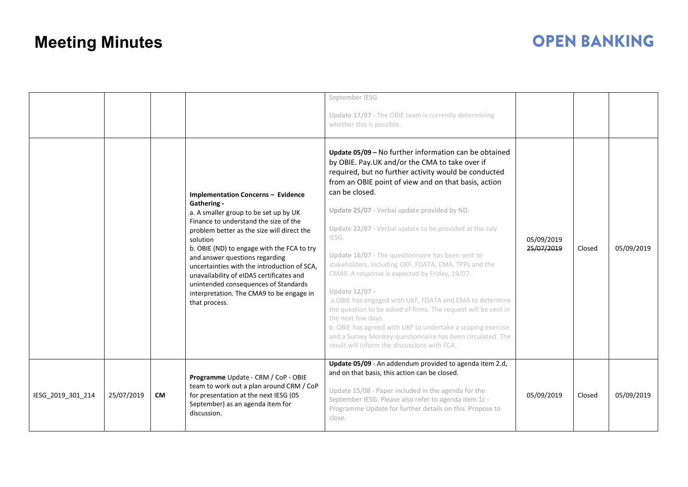|                   |            |           |                                                                                                                                                                                                                                                                                                                                                                                                                                                                                      | September IESG<br>Update 17/07 - The OBIE team is currently determining<br>whether this is possible.                                                                                                                                                                                                                                                                                                                                                                                                                                                                                                                                                                                                                                                                                                                                                                             |                          |        |            |
|-------------------|------------|-----------|--------------------------------------------------------------------------------------------------------------------------------------------------------------------------------------------------------------------------------------------------------------------------------------------------------------------------------------------------------------------------------------------------------------------------------------------------------------------------------------|----------------------------------------------------------------------------------------------------------------------------------------------------------------------------------------------------------------------------------------------------------------------------------------------------------------------------------------------------------------------------------------------------------------------------------------------------------------------------------------------------------------------------------------------------------------------------------------------------------------------------------------------------------------------------------------------------------------------------------------------------------------------------------------------------------------------------------------------------------------------------------|--------------------------|--------|------------|
|                   |            |           | <b>Implementation Concerns - Evidence</b><br>Gathering -<br>a. A smaller group to be set up by UK<br>Finance to understand the size of the<br>problem better as the size will direct the<br>solution<br>b. OBIE (ND) to engage with the FCA to try<br>and answer questions regarding<br>uncertainties with the introduction of SCA.<br>unavailability of eIDAS certificates and<br>unintended consequences of Standards<br>interpretation. The CMA9 to be engage in<br>that process. | Update 05/09 - No further information can be obtained<br>by OBIE. Pay.UK and/or the CMA to take over if<br>required, but no further activity would be conducted<br>from an OBIE point of view and on that basis, action<br>can be closed.<br>Update 25/07 - Verbal update provided by ND.<br>Update 22/07 - Verbal update to be provided at the July<br>IESG.<br>Update 16/07 - The questionnaire has been sent to<br>stakeholders, including UKF, FDATA, EMA, TPPs and the<br>CMA9. A response is expected by Friday, 19/07.<br>Update 12/07 -<br>a. OBIE has engaged with UKF, FDATA and EMA to determine<br>the question to be asked of firms. The request will be sent in<br>the next few days.<br>b. OBIE has agreed with UKF to undertake a scoping exercise<br>and a Survey Monkey questionnaire has been circulated. The<br>result will inform the discussions with FCA. | 05/09/2019<br>25/07/2019 | Closed | 05/09/2019 |
| IESG 2019 301 214 | 25/07/2019 | <b>CM</b> | Programme Update - CRM / CoP - OBIE<br>team to work out a plan around CRM / CoP<br>for presentation at the next IESG (05<br>September) as an agenda item for<br>discussion.                                                                                                                                                                                                                                                                                                          | Update 05/09 - An addendum provided to agenda item 2.d,<br>and on that basis, this action can be closed.<br>Update 15/08 - Paper included in the agenda for the<br>September IESG. Please also refer to agenda item 1c -<br>Programme Update for further details on this. Propose to<br>close.                                                                                                                                                                                                                                                                                                                                                                                                                                                                                                                                                                                   | 05/09/2019               | Closed | 05/09/2019 |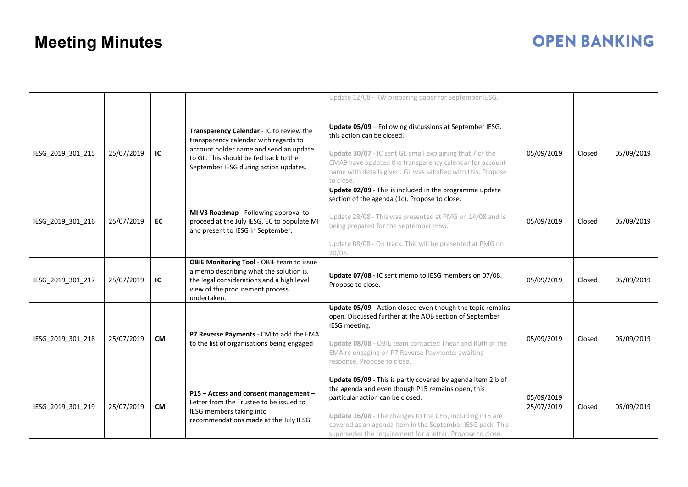|                   |            |           |                                                                                                                                                                                                               | Update 12/08 - RW preparing paper for September IESG.                                                                                                                                                                                                                                                                                        |                          |        |            |
|-------------------|------------|-----------|---------------------------------------------------------------------------------------------------------------------------------------------------------------------------------------------------------------|----------------------------------------------------------------------------------------------------------------------------------------------------------------------------------------------------------------------------------------------------------------------------------------------------------------------------------------------|--------------------------|--------|------------|
| IESG_2019_301_215 | 25/07/2019 | IC        | Transparency Calendar - IC to review the<br>transparency calendar with regards to<br>account holder name and send an update<br>to GL. This should be fed back to the<br>September IESG during action updates. | Update 05/09 - Following discussions at September IESG,<br>this action can be closed.<br>Update 30/07 - IC sent GL email explaining that 7 of the<br>CMA9 have updated the transparency calendar for account<br>name with details given. GL was satisfied with this. Propose<br>to close.                                                    | 05/09/2019               | Closed | 05/09/2019 |
| IESG_2019_301_216 | 25/07/2019 | EC        | MI V3 Roadmap - Following approval to<br>proceed at the July IESG, EC to populate MI<br>and present to IESG in September.                                                                                     | Update 02/09 - This is included in the programme update<br>section of the agenda (1c). Propose to close.<br>Update 28/08 - This was presented at PMG on 14/08 and is<br>being prepared for the September IESG.<br>Update 08/08 - On track. This will be presented at PMG on<br>20/08.                                                        | 05/09/2019               | Closed | 05/09/2019 |
| IESG_2019_301_217 | 25/07/2019 | IC        | <b>OBIE Monitoring Tool - OBIE team to issue</b><br>a memo describing what the solution is,<br>the legal considerations and a high level<br>view of the procurement process<br>undertaken.                    | Update 07/08 - IC sent memo to IESG members on 07/08.<br>Propose to close.                                                                                                                                                                                                                                                                   | 05/09/2019               | Closed | 05/09/2019 |
| IESG 2019 301 218 | 25/07/2019 | <b>CM</b> | P7 Reverse Payments - CM to add the EMA<br>to the list of organisations being engaged                                                                                                                         | Update 05/09 - Action closed even though the topic remains<br>open. Discussed further at the AOB section of September<br>IESG meeting.<br>Update 08/08 - OBIE team contacted Thear and Ruth of the<br>EMA re engaging on P7 Reverse Payments; awaiting<br>response. Propose to close.                                                        | 05/09/2019               | Closed | 05/09/2019 |
| IESG_2019_301_219 | 25/07/2019 | <b>CM</b> | P15 - Access and consent management -<br>Letter from the Trustee to be issued to<br>IESG members taking into<br>recommendations made at the July IESG                                                         | Update 05/09 - This is partly covered by agenda item 2.b of<br>the agenda and even though P15 remains open, this<br>particular action can be closed.<br>Update 16/08 - The changes to the CEG, including P15 are<br>covered as an agenda item in the September IESG pack. This<br>supersedes the requirement for a letter. Propose to close. | 05/09/2019<br>25/07/2019 | Closed | 05/09/2019 |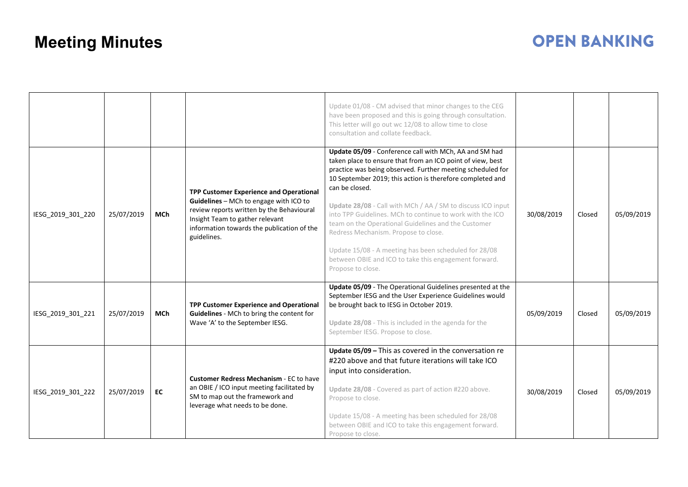|                   |            |            |                                                                                                                                                                                                                                | Update 01/08 - CM advised that minor changes to the CEG<br>have been proposed and this is going through consultation.<br>This letter will go out wc 12/08 to allow time to close<br>consultation and collate feedback.                                                                                                                                                                                                                                                                                                                                                                                                              |            |        |            |
|-------------------|------------|------------|--------------------------------------------------------------------------------------------------------------------------------------------------------------------------------------------------------------------------------|-------------------------------------------------------------------------------------------------------------------------------------------------------------------------------------------------------------------------------------------------------------------------------------------------------------------------------------------------------------------------------------------------------------------------------------------------------------------------------------------------------------------------------------------------------------------------------------------------------------------------------------|------------|--------|------------|
| IESG_2019_301_220 | 25/07/2019 | <b>MCh</b> | TPP Customer Experience and Operational<br>Guidelines - MCh to engage with ICO to<br>review reports written by the Behavioural<br>Insight Team to gather relevant<br>information towards the publication of the<br>guidelines. | Update 05/09 - Conference call with MCh, AA and SM had<br>taken place to ensure that from an ICO point of view, best<br>practice was being observed. Further meeting scheduled for<br>10 September 2019; this action is therefore completed and<br>can be closed.<br>Update 28/08 - Call with MCh / AA / SM to discuss ICO input<br>into TPP Guidelines. MCh to continue to work with the ICO<br>team on the Operational Guidelines and the Customer<br>Redress Mechanism. Propose to close.<br>Update 15/08 - A meeting has been scheduled for 28/08<br>between OBIE and ICO to take this engagement forward.<br>Propose to close. | 30/08/2019 | Closed | 05/09/2019 |
| IESG_2019_301_221 | 25/07/2019 | <b>MCh</b> | TPP Customer Experience and Operational<br>Guidelines - MCh to bring the content for<br>Wave 'A' to the September IESG.                                                                                                        | Update 05/09 - The Operational Guidelines presented at the<br>September IESG and the User Experience Guidelines would<br>be brought back to IESG in October 2019.<br>Update 28/08 - This is included in the agenda for the<br>September IESG. Propose to close.                                                                                                                                                                                                                                                                                                                                                                     | 05/09/2019 | Closed | 05/09/2019 |
| IESG_2019_301_222 | 25/07/2019 | EC         | <b>Customer Redress Mechanism - EC to have</b><br>an OBIE / ICO input meeting facilitated by<br>SM to map out the framework and<br>leverage what needs to be done.                                                             | Update 05/09 - This as covered in the conversation re<br>#220 above and that future iterations will take ICO<br>input into consideration.<br>Update 28/08 - Covered as part of action #220 above.<br>Propose to close.<br>Update 15/08 - A meeting has been scheduled for 28/08<br>between OBIE and ICO to take this engagement forward.<br>Propose to close.                                                                                                                                                                                                                                                                       | 30/08/2019 | Closed | 05/09/2019 |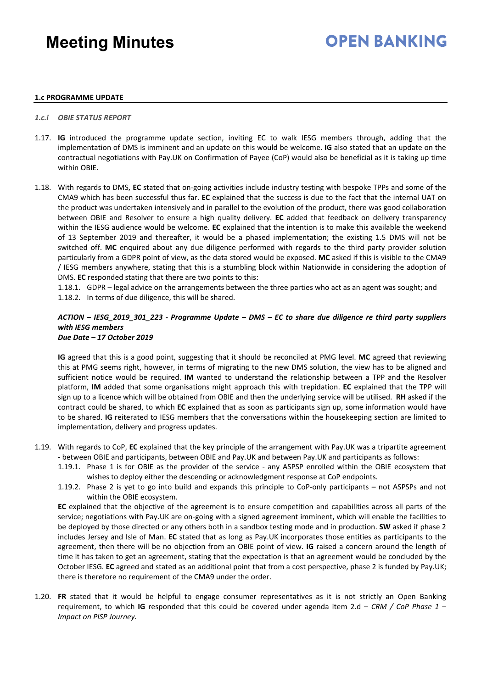## **OPEN BANKING**

#### **1.c PROGRAMME UPDATE**

#### *1.c.i OBIE STATUS REPORT*

- 1.17. **IG** introduced the programme update section, inviting EC to walk IESG members through, adding that the implementation of DMS is imminent and an update on this would be welcome. **IG** also stated that an update on the contractual negotiations with Pay.UK on Confirmation of Payee (CoP) would also be beneficial as it is taking up time within OBIE.
- 1.18. With regards to DMS, **EC** stated that on-going activities include industry testing with bespoke TPPs and some of the CMA9 which has been successful thus far. **EC** explained that the success is due to the fact that the internal UAT on the product was undertaken intensively and in parallel to the evolution of the product, there was good collaboration between OBIE and Resolver to ensure a high quality delivery. **EC** added that feedback on delivery transparency within the IESG audience would be welcome. **EC** explained that the intention is to make this available the weekend of 13 September 2019 and thereafter, it would be a phased implementation; the existing 1.5 DMS will not be switched off. **MC** enquired about any due diligence performed with regards to the third party provider solution particularly from a GDPR point of view, as the data stored would be exposed. **MC** asked if this is visible to the CMA9 / IESG members anywhere, stating that this is a stumbling block within Nationwide in considering the adoption of DMS. **EC** responded stating that there are two points to this:

1.18.1. GDPR – legal advice on the arrangements between the three parties who act as an agent was sought; and 1.18.2. In terms of due diligence, this will be shared.

#### *ACTION – IESG\_2019\_301\_223 - Programme Update – DMS – EC to share due diligence re third party suppliers with IESG members Due Date – 17 October 2019*

**IG** agreed that this is a good point, suggesting that it should be reconciled at PMG level. **MC** agreed that reviewing this at PMG seems right, however, in terms of migrating to the new DMS solution, the view has to be aligned and sufficient notice would be required. **IM** wanted to understand the relationship between a TPP and the Resolver platform, **IM** added that some organisations might approach this with trepidation. **EC** explained that the TPP will sign up to a licence which will be obtained from OBIE and then the underlying service will be utilised. **RH** asked if the contract could be shared, to which **EC** explained that as soon as participants sign up, some information would have to be shared. **IG** reiterated to IESG members that the conversations within the housekeeping section are limited to implementation, delivery and progress updates.

- 1.19. With regards to CoP, **EC** explained that the key principle of the arrangement with Pay.UK was a tripartite agreement - between OBIE and participants, between OBIE and Pay.UK and between Pay.UK and participants as follows:
	- 1.19.1. Phase 1 is for OBIE as the provider of the service any ASPSP enrolled within the OBIE ecosystem that wishes to deploy either the descending or acknowledgment response at CoP endpoints.
	- 1.19.2. Phase 2 is yet to go into build and expands this principle to CoP-only participants not ASPSPs and not within the OBIE ecosystem.

**EC** explained that the objective of the agreement is to ensure competition and capabilities across all parts of the service; negotiations with Pay.UK are on-going with a signed agreement imminent, which will enable the facilities to be deployed by those directed or any others both in a sandbox testing mode and in production. **SW** asked if phase 2 includes Jersey and Isle of Man. **EC** stated that as long as Pay.UK incorporates those entities as participants to the agreement, then there will be no objection from an OBIE point of view. **IG** raised a concern around the length of time it has taken to get an agreement, stating that the expectation is that an agreement would be concluded by the October IESG. **EC** agreed and stated as an additional point that from a cost perspective, phase 2 is funded by Pay.UK; there is therefore no requirement of the CMA9 under the order.

1.20. **FR** stated that it would be helpful to engage consumer representatives as it is not strictly an Open Banking requirement, to which **IG** responded that this could be covered under agenda item 2.d – *CRM / CoP Phase 1 – Impact on PISP Journey.*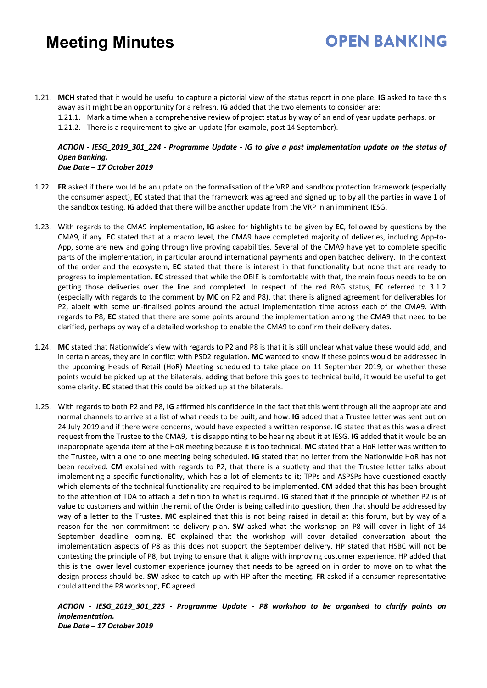1.21. **MCH** stated that it would be useful to capture a pictorial view of the status report in one place. **IG** asked to take this away as it might be an opportunity for a refresh. **IG** added that the two elements to consider are:

1.21.1. Mark a time when a comprehensive review of project status by way of an end of year update perhaps, or

**OPEN BANKING** 

1.21.2. There is a requirement to give an update (for example, post 14 September).

#### *ACTION - IESG\_2019\_301\_224 - Programme Update - IG to give a post implementation update on the status of Open Banking. Due Date – 17 October 2019*

- 1.22. **FR** asked if there would be an update on the formalisation of the VRP and sandbox protection framework (especially the consumer aspect), **EC** stated that that the framework was agreed and signed up to by all the parties in wave 1 of the sandbox testing. **IG** added that there will be another update from the VRP in an imminent IESG.
- 1.23. With regards to the CMA9 implementation, **IG** asked for highlights to be given by **EC**, followed by questions by the CMA9, if any. **EC** stated that at a macro level, the CMA9 have completed majority of deliveries, including App-to-App, some are new and going through live proving capabilities. Several of the CMA9 have yet to complete specific parts of the implementation, in particular around international payments and open batched delivery. In the context of the order and the ecosystem, **EC** stated that there is interest in that functionality but none that are ready to progress to implementation. **EC** stressed that while the OBIE is comfortable with that, the main focus needs to be on getting those deliveries over the line and completed. In respect of the red RAG status, **EC** referred to 3.1.2 (especially with regards to the comment by **MC** on P2 and P8), that there is aligned agreement for deliverables for P2, albeit with some un-finalised points around the actual implementation time across each of the CMA9. With regards to P8, **EC** stated that there are some points around the implementation among the CMA9 that need to be clarified, perhaps by way of a detailed workshop to enable the CMA9 to confirm their delivery dates.
- 1.24. **MC** stated that Nationwide's view with regards to P2 and P8 is that it is still unclear what value these would add, and in certain areas, they are in conflict with PSD2 regulation. **MC** wanted to know if these points would be addressed in the upcoming Heads of Retail (HoR) Meeting scheduled to take place on 11 September 2019, or whether these points would be picked up at the bilaterals, adding that before this goes to technical build, it would be useful to get some clarity. **EC** stated that this could be picked up at the bilaterals.
- 1.25. With regards to both P2 and P8, **IG** affirmed his confidence in the fact that this went through all the appropriate and normal channels to arrive at a list of what needs to be built, and how. **IG** added that a Trustee letter was sent out on 24 July 2019 and if there were concerns, would have expected a written response. **IG** stated that as this was a direct request from the Trustee to the CMA9, it is disappointing to be hearing about it at IESG. **IG** added that it would be an inappropriate agenda item at the HoR meeting because it is too technical. **MC** stated that a HoR letter was written to the Trustee, with a one to one meeting being scheduled. **IG** stated that no letter from the Nationwide HoR has not been received. **CM** explained with regards to P2, that there is a subtlety and that the Trustee letter talks about implementing a specific functionality, which has a lot of elements to it; TPPs and ASPSPs have questioned exactly which elements of the technical functionality are required to be implemented. **CM** added that this has been brought to the attention of TDA to attach a definition to what is required. **IG** stated that if the principle of whether P2 is of value to customers and within the remit of the Order is being called into question, then that should be addressed by way of a letter to the Trustee. **MC** explained that this is not being raised in detail at this forum, but by way of a reason for the non-commitment to delivery plan. **SW** asked what the workshop on P8 will cover in light of 14 September deadline looming. **EC** explained that the workshop will cover detailed conversation about the implementation aspects of P8 as this does not support the September delivery. HP stated that HSBC will not be contesting the principle of P8, but trying to ensure that it aligns with improving customer experience. HP added that this is the lower level customer experience journey that needs to be agreed on in order to move on to what the design process should be. **SW** asked to catch up with HP after the meeting. **FR** asked if a consumer representative could attend the P8 workshop, **EC** agreed.

*ACTION - IESG\_2019\_301\_225 - Programme Update - P8 workshop to be organised to clarify points on implementation. Due Date – 17 October 2019*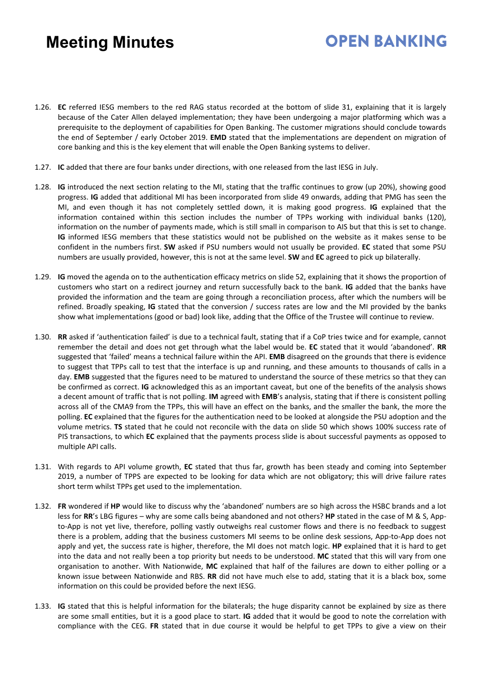- 1.26. **EC** referred IESG members to the red RAG status recorded at the bottom of slide 31, explaining that it is largely because of the Cater Allen delayed implementation; they have been undergoing a major platforming which was a prerequisite to the deployment of capabilities for Open Banking. The customer migrations should conclude towards the end of September / early October 2019. **EMD** stated that the implementations are dependent on migration of core banking and this is the key element that will enable the Open Banking systems to deliver.
- 1.27. **IC** added that there are four banks under directions, with one released from the last IESG in July.
- 1.28. **IG** introduced the next section relating to the MI, stating that the traffic continues to grow (up 20%), showing good progress. **IG** added that additional MI has been incorporated from slide 49 onwards, adding that PMG has seen the MI, and even though it has not completely settled down, it is making good progress. **IG** explained that the information contained within this section includes the number of TPPs working with individual banks (120), information on the number of payments made, which is still small in comparison to AIS but that this is set to change. **IG** informed IESG members that these statistics would not be published on the website as it makes sense to be confident in the numbers first. **SW** asked if PSU numbers would not usually be provided. **EC** stated that some PSU numbers are usually provided, however, this is not at the same level. **SW** and **EC** agreed to pick up bilaterally.
- 1.29. **IG** moved the agenda on to the authentication efficacy metrics on slide 52, explaining that it shows the proportion of customers who start on a redirect journey and return successfully back to the bank. **IG** added that the banks have provided the information and the team are going through a reconciliation process, after which the numbers will be refined. Broadly speaking, **IG** stated that the conversion / success rates are low and the MI provided by the banks show what implementations (good or bad) look like, adding that the Office of the Trustee will continue to review.
- 1.30. **RR** asked if 'authentication failed' is due to a technical fault, stating that if a CoP tries twice and for example, cannot remember the detail and does not get through what the label would be. **EC** stated that it would 'abandoned'. **RR** suggested that 'failed' means a technical failure within the API. **EMB** disagreed on the grounds that there is evidence to suggest that TPPs call to test that the interface is up and running, and these amounts to thousands of calls in a day. **EMB** suggested that the figures need to be matured to understand the source of these metrics so that they can be confirmed as correct. **IG** acknowledged this as an important caveat, but one of the benefits of the analysis shows a decent amount of traffic that is not polling. **IM** agreed with **EMB**'s analysis, stating that if there is consistent polling across all of the CMA9 from the TPPs, this will have an effect on the banks, and the smaller the bank, the more the polling. **EC** explained that the figures for the authentication need to be looked at alongside the PSU adoption and the volume metrics. **TS** stated that he could not reconcile with the data on slide 50 which shows 100% success rate of PIS transactions, to which **EC** explained that the payments process slide is about successful payments as opposed to multiple API calls.
- 1.31. With regards to API volume growth, **EC** stated that thus far, growth has been steady and coming into September 2019, a number of TPPS are expected to be looking for data which are not obligatory; this will drive failure rates short term whilst TPPs get used to the implementation.
- 1.32. **FR** wondered if **HP** would like to discuss why the 'abandoned' numbers are so high across the HSBC brands and a lot less for **RR**'s LBG figures – why are some calls being abandoned and not others? **HP** stated in the case of M & S, Appto-App is not yet live, therefore, polling vastly outweighs real customer flows and there is no feedback to suggest there is a problem, adding that the business customers MI seems to be online desk sessions, App-to-App does not apply and yet, the success rate is higher, therefore, the MI does not match logic. **HP** explained that it is hard to get into the data and not really been a top priority but needs to be understood. **MC** stated that this will vary from one organisation to another. With Nationwide, **MC** explained that half of the failures are down to either polling or a known issue between Nationwide and RBS. **RR** did not have much else to add, stating that it is a black box, some information on this could be provided before the next IESG.
- 1.33. **IG** stated that this is helpful information for the bilaterals; the huge disparity cannot be explained by size as there are some small entities, but it is a good place to start. **IG** added that it would be good to note the correlation with compliance with the CEG. **FR** stated that in due course it would be helpful to get TPPs to give a view on their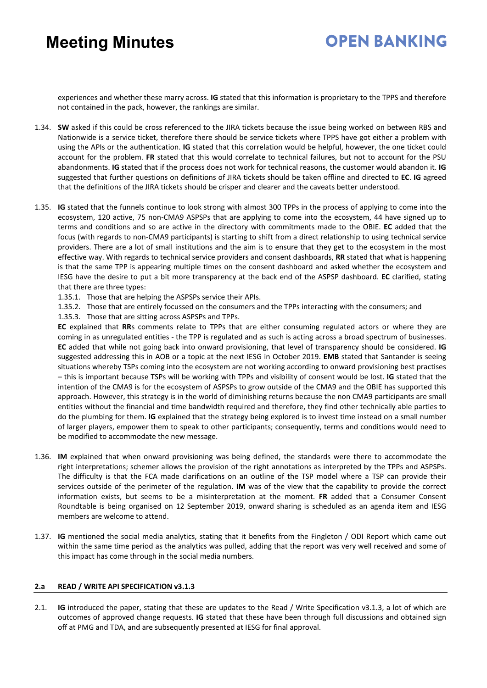### **OPEN BANKING**

experiences and whether these marry across. **IG** stated that this information is proprietary to the TPPS and therefore not contained in the pack, however, the rankings are similar.

- 1.34. **SW** asked if this could be cross referenced to the JIRA tickets because the issue being worked on between RBS and Nationwide is a service ticket, therefore there should be service tickets where TPPS have got either a problem with using the APIs or the authentication. **IG** stated that this correlation would be helpful, however, the one ticket could account for the problem. **FR** stated that this would correlate to technical failures, but not to account for the PSU abandonments. **IG** stated that if the process does not work for technical reasons, the customer would abandon it. **IG** suggested that further questions on definitions of JIRA tickets should be taken offline and directed to **EC**. **IG** agreed that the definitions of the JIRA tickets should be crisper and clearer and the caveats better understood.
- 1.35. **IG** stated that the funnels continue to look strong with almost 300 TPPs in the process of applying to come into the ecosystem, 120 active, 75 non-CMA9 ASPSPs that are applying to come into the ecosystem, 44 have signed up to terms and conditions and so are active in the directory with commitments made to the OBIE. **EC** added that the focus (with regards to non-CMA9 participants) is starting to shift from a direct relationship to using technical service providers. There are a lot of small institutions and the aim is to ensure that they get to the ecosystem in the most effective way. With regards to technical service providers and consent dashboards, **RR** stated that what is happening is that the same TPP is appearing multiple times on the consent dashboard and asked whether the ecosystem and IESG have the desire to put a bit more transparency at the back end of the ASPSP dashboard. **EC** clarified, stating that there are three types:
	- 1.35.1. Those that are helping the ASPSPs service their APIs.
	- 1.35.2. Those that are entirely focussed on the consumers and the TPPs interacting with the consumers; and
	- 1.35.3. Those that are sitting across ASPSPs and TPPs.

**EC** explained that **RR**s comments relate to TPPs that are either consuming regulated actors or where they are coming in as unregulated entities - the TPP is regulated and as such is acting across a broad spectrum of businesses. **EC** added that while not going back into onward provisioning, that level of transparency should be considered. **IG** suggested addressing this in AOB or a topic at the next IESG in October 2019. **EMB** stated that Santander is seeing situations whereby TSPs coming into the ecosystem are not working according to onward provisioning best practises – this is important because TSPs will be working with TPPs and visibility of consent would be lost. **IG** stated that the intention of the CMA9 is for the ecosystem of ASPSPs to grow outside of the CMA9 and the OBIE has supported this approach. However, this strategy is in the world of diminishing returns because the non CMA9 participants are small entities without the financial and time bandwidth required and therefore, they find other technically able parties to do the plumbing for them. **IG** explained that the strategy being explored is to invest time instead on a small number of larger players, empower them to speak to other participants; consequently, terms and conditions would need to be modified to accommodate the new message.

- 1.36. **IM** explained that when onward provisioning was being defined, the standards were there to accommodate the right interpretations; schemer allows the provision of the right annotations as interpreted by the TPPs and ASPSPs. The difficulty is that the FCA made clarifications on an outline of the TSP model where a TSP can provide their services outside of the perimeter of the regulation. **IM** was of the view that the capability to provide the correct information exists, but seems to be a misinterpretation at the moment. **FR** added that a Consumer Consent Roundtable is being organised on 12 September 2019, onward sharing is scheduled as an agenda item and IESG members are welcome to attend.
- 1.37. **IG** mentioned the social media analytics, stating that it benefits from the Fingleton / ODI Report which came out within the same time period as the analytics was pulled, adding that the report was very well received and some of this impact has come through in the social media numbers.

#### **2.a READ / WRITE API SPECIFICATION v3.1.3**

2.1. **IG** introduced the paper, stating that these are updates to the Read / Write Specification v3.1.3, a lot of which are outcomes of approved change requests. **IG** stated that these have been through full discussions and obtained sign off at PMG and TDA, and are subsequently presented at IESG for final approval.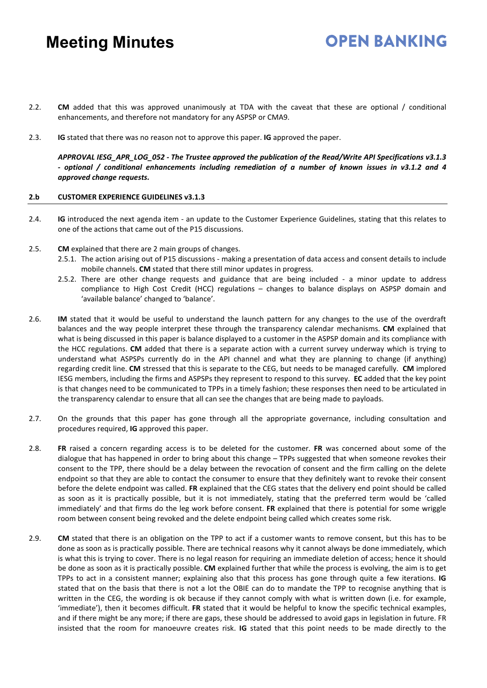- 2.2. **CM** added that this was approved unanimously at TDA with the caveat that these are optional / conditional enhancements, and therefore not mandatory for any ASPSP or CMA9.
- 2.3. **IG** stated that there was no reason not to approve this paper. **IG** approved the paper.

*APPROVAL IESG\_APR\_LOG\_052 - The Trustee approved the publication of the Read/Write API Specifications v3.1.3 - optional / conditional enhancements including remediation of a number of known issues in v3.1.2 and 4 approved change requests.*

**OPEN BANKING** 

#### **2.b CUSTOMER EXPERIENCE GUIDELINES v3.1.3**

- 2.4. **IG** introduced the next agenda item an update to the Customer Experience Guidelines, stating that this relates to one of the actions that came out of the P15 discussions.
- 2.5. **CM** explained that there are 2 main groups of changes.
	- 2.5.1. The action arising out of P15 discussions making a presentation of data access and consent details to include mobile channels. **CM** stated that there still minor updates in progress.
	- 2.5.2. There are other change requests and guidance that are being included a minor update to address compliance to High Cost Credit (HCC) regulations – changes to balance displays on ASPSP domain and 'available balance' changed to 'balance'.
- 2.6. **IM** stated that it would be useful to understand the launch pattern for any changes to the use of the overdraft balances and the way people interpret these through the transparency calendar mechanisms. **CM** explained that what is being discussed in this paper is balance displayed to a customer in the ASPSP domain and its compliance with the HCC regulations. **CM** added that there is a separate action with a current survey underway which is trying to understand what ASPSPs currently do in the API channel and what they are planning to change (if anything) regarding credit line. **CM** stressed that this is separate to the CEG, but needs to be managed carefully. **CM** implored IESG members, including the firms and ASPSPs they represent to respond to this survey. **EC** added that the key point is that changes need to be communicated to TPPs in a timely fashion; these responses then need to be articulated in the transparency calendar to ensure that all can see the changes that are being made to payloads.
- 2.7. On the grounds that this paper has gone through all the appropriate governance, including consultation and procedures required, **IG** approved this paper.
- 2.8. **FR** raised a concern regarding access is to be deleted for the customer. **FR** was concerned about some of the dialogue that has happened in order to bring about this change – TPPs suggested that when someone revokes their consent to the TPP, there should be a delay between the revocation of consent and the firm calling on the delete endpoint so that they are able to contact the consumer to ensure that they definitely want to revoke their consent before the delete endpoint was called. **FR** explained that the CEG states that the delivery end point should be called as soon as it is practically possible, but it is not immediately, stating that the preferred term would be 'called immediately' and that firms do the leg work before consent. **FR** explained that there is potential for some wriggle room between consent being revoked and the delete endpoint being called which creates some risk.
- 2.9. **CM** stated that there is an obligation on the TPP to act if a customer wants to remove consent, but this has to be done as soon as is practically possible. There are technical reasons why it cannot always be done immediately, which is what this is trying to cover. There is no legal reason for requiring an immediate deletion of access; hence it should be done as soon as it is practically possible. **CM** explained further that while the process is evolving, the aim is to get TPPs to act in a consistent manner; explaining also that this process has gone through quite a few iterations. **IG** stated that on the basis that there is not a lot the OBIE can do to mandate the TPP to recognise anything that is written in the CEG, the wording is ok because if they cannot comply with what is written down (i.e. for example, 'immediate'), then it becomes difficult. **FR** stated that it would be helpful to know the specific technical examples, and if there might be any more; if there are gaps, these should be addressed to avoid gaps in legislation in future. FR insisted that the room for manoeuvre creates risk. **IG** stated that this point needs to be made directly to the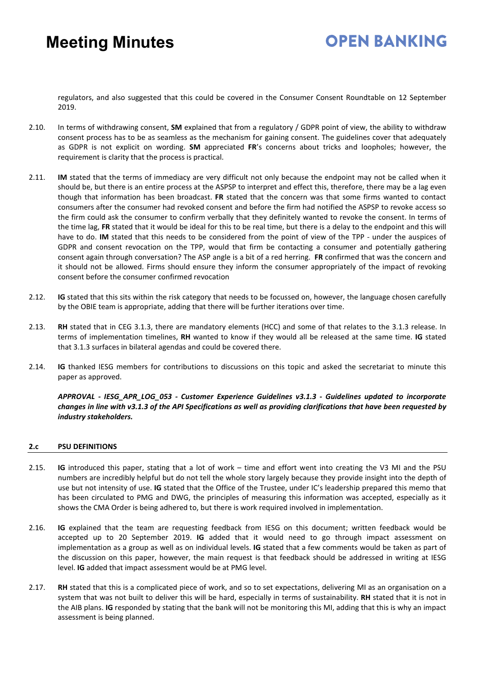# **OPEN RANKING**

regulators, and also suggested that this could be covered in the Consumer Consent Roundtable on 12 September 2019.

- 2.10. In terms of withdrawing consent, **SM** explained that from a regulatory / GDPR point of view, the ability to withdraw consent process has to be as seamless as the mechanism for gaining consent. The guidelines cover that adequately as GDPR is not explicit on wording. **SM** appreciated **FR**'s concerns about tricks and loopholes; however, the requirement is clarity that the process is practical.
- 2.11. **IM** stated that the terms of immediacy are very difficult not only because the endpoint may not be called when it should be, but there is an entire process at the ASPSP to interpret and effect this, therefore, there may be a lag even though that information has been broadcast. **FR** stated that the concern was that some firms wanted to contact consumers after the consumer had revoked consent and before the firm had notified the ASPSP to revoke access so the firm could ask the consumer to confirm verbally that they definitely wanted to revoke the consent. In terms of the time lag, **FR** stated that it would be ideal for this to be real time, but there is a delay to the endpoint and this will have to do. **IM** stated that this needs to be considered from the point of view of the TPP - under the auspices of GDPR and consent revocation on the TPP, would that firm be contacting a consumer and potentially gathering consent again through conversation? The ASP angle is a bit of a red herring. **FR** confirmed that was the concern and it should not be allowed. Firms should ensure they inform the consumer appropriately of the impact of revoking consent before the consumer confirmed revocation
- 2.12. **IG** stated that this sits within the risk category that needs to be focussed on, however, the language chosen carefully by the OBIE team is appropriate, adding that there will be further iterations over time.
- 2.13. **RH** stated that in CEG 3.1.3, there are mandatory elements (HCC) and some of that relates to the 3.1.3 release. In terms of implementation timelines, **RH** wanted to know if they would all be released at the same time. **IG** stated that 3.1.3 surfaces in bilateral agendas and could be covered there.
- 2.14. **IG** thanked IESG members for contributions to discussions on this topic and asked the secretariat to minute this paper as approved.

*APPROVAL - IESG\_APR\_LOG\_053 - Customer Experience Guidelines v3.1.3 - Guidelines updated to incorporate changes in line with v3.1.3 of the API Specifications as well as providing clarifications that have been requested by industry stakeholders.*

#### **2.c PSU DEFINITIONS**

- 2.15. **IG** introduced this paper, stating that a lot of work time and effort went into creating the V3 MI and the PSU numbers are incredibly helpful but do not tell the whole story largely because they provide insight into the depth of use but not intensity of use. **IG** stated that the Office of the Trustee, under IC's leadership prepared this memo that has been circulated to PMG and DWG, the principles of measuring this information was accepted, especially as it shows the CMA Order is being adhered to, but there is work required involved in implementation.
- 2.16. **IG** explained that the team are requesting feedback from IESG on this document; written feedback would be accepted up to 20 September 2019. **IG** added that it would need to go through impact assessment on implementation as a group as well as on individual levels. **IG** stated that a few comments would be taken as part of the discussion on this paper, however, the main request is that feedback should be addressed in writing at IESG level. **IG** added that impact assessment would be at PMG level.
- 2.17. **RH** stated that this is a complicated piece of work, and so to set expectations, delivering MI as an organisation on a system that was not built to deliver this will be hard, especially in terms of sustainability. **RH** stated that it is not in the AIB plans. **IG** responded by stating that the bank will not be monitoring this MI, adding that this is why an impact assessment is being planned.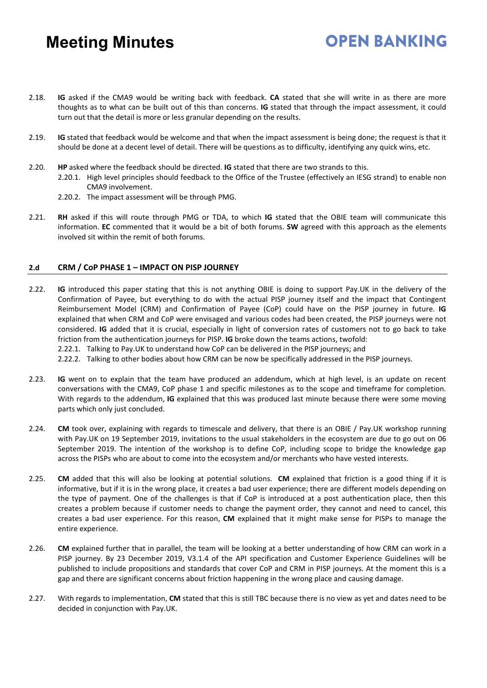2.18. **IG** asked if the CMA9 would be writing back with feedback. **CA** stated that she will write in as there are more thoughts as to what can be built out of this than concerns. **IG** stated that through the impact assessment, it could turn out that the detail is more or less granular depending on the results.

**OPEN RANKING** 

- 2.19. **IG** stated that feedback would be welcome and that when the impact assessment is being done; the request is that it should be done at a decent level of detail. There will be questions as to difficulty, identifying any quick wins, etc.
- 2.20. **HP** asked where the feedback should be directed. **IG** stated that there are two strands to this.
	- 2.20.1. High level principles should feedback to the Office of the Trustee (effectively an IESG strand) to enable non CMA9 involvement.
	- 2.20.2. The impact assessment will be through PMG.
- 2.21. **RH** asked if this will route through PMG or TDA, to which **IG** stated that the OBIE team will communicate this information. **EC** commented that it would be a bit of both forums. **SW** agreed with this approach as the elements involved sit within the remit of both forums.

#### **2.d CRM / CoP PHASE 1 – IMPACT ON PISP JOURNEY**

- 2.22. **IG** introduced this paper stating that this is not anything OBIE is doing to support Pay.UK in the delivery of the Confirmation of Payee, but everything to do with the actual PISP journey itself and the impact that Contingent Reimbursement Model (CRM) and Confirmation of Payee (CoP) could have on the PISP journey in future. **IG** explained that when CRM and CoP were envisaged and various codes had been created, the PISP journeys were not considered. **IG** added that it is crucial, especially in light of conversion rates of customers not to go back to take friction from the authentication journeys for PISP. **IG** broke down the teams actions, twofold:
	- 2.22.1. Talking to Pay.UK to understand how CoP can be delivered in the PISP journeys; and
	- 2.22.2. Talking to other bodies about how CRM can be now be specifically addressed in the PISP journeys.
- 2.23. **IG** went on to explain that the team have produced an addendum, which at high level, is an update on recent conversations with the CMA9, CoP phase 1 and specific milestones as to the scope and timeframe for completion. With regards to the addendum, **IG** explained that this was produced last minute because there were some moving parts which only just concluded.
- 2.24. **CM** took over, explaining with regards to timescale and delivery, that there is an OBIE / Pay.UK workshop running with Pay.UK on 19 September 2019, invitations to the usual stakeholders in the ecosystem are due to go out on 06 September 2019. The intention of the workshop is to define CoP, including scope to bridge the knowledge gap across the PISPs who are about to come into the ecosystem and/or merchants who have vested interests.
- 2.25. **CM** added that this will also be looking at potential solutions. **CM** explained that friction is a good thing if it is informative, but if it is in the wrong place, it creates a bad user experience; there are different models depending on the type of payment. One of the challenges is that if CoP is introduced at a post authentication place, then this creates a problem because if customer needs to change the payment order, they cannot and need to cancel, this creates a bad user experience. For this reason, **CM** explained that it might make sense for PISPs to manage the entire experience.
- 2.26. **CM** explained further that in parallel, the team will be looking at a better understanding of how CRM can work in a PISP journey. By 23 December 2019, V3.1.4 of the API specification and Customer Experience Guidelines will be published to include propositions and standards that cover CoP and CRM in PISP journeys. At the moment this is a gap and there are significant concerns about friction happening in the wrong place and causing damage.
- 2.27. With regards to implementation, **CM** stated that this is still TBC because there is no view as yet and dates need to be decided in conjunction with Pay.UK.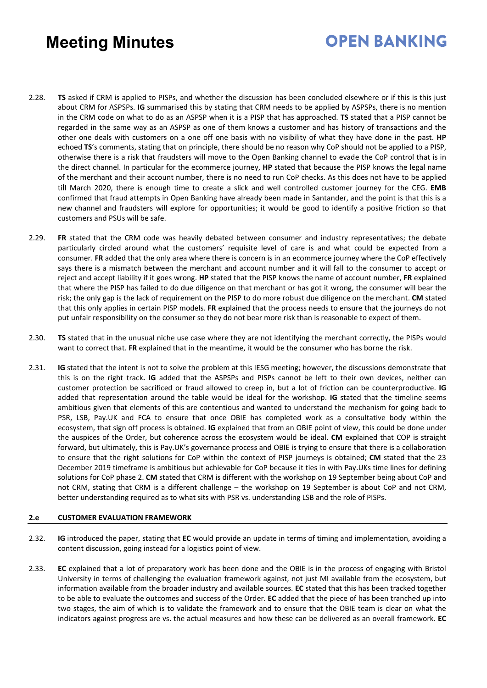# **OPEN BANKING**

- 2.28. **TS** asked if CRM is applied to PISPs, and whether the discussion has been concluded elsewhere or if this is this just about CRM for ASPSPs. **IG** summarised this by stating that CRM needs to be applied by ASPSPs, there is no mention in the CRM code on what to do as an ASPSP when it is a PISP that has approached. **TS** stated that a PISP cannot be regarded in the same way as an ASPSP as one of them knows a customer and has history of transactions and the other one deals with customers on a one off one basis with no visibility of what they have done in the past. **HP** echoed **TS**'s comments, stating that on principle, there should be no reason why CoP should not be applied to a PISP, otherwise there is a risk that fraudsters will move to the Open Banking channel to evade the CoP control that is in the direct channel. In particular for the ecommerce journey, **HP** stated that because the PISP knows the legal name of the merchant and their account number, there is no need to run CoP checks. As this does not have to be applied till March 2020, there is enough time to create a slick and well controlled customer journey for the CEG. **EMB** confirmed that fraud attempts in Open Banking have already been made in Santander, and the point is that this is a new channel and fraudsters will explore for opportunities; it would be good to identify a positive friction so that customers and PSUs will be safe.
- 2.29. **FR** stated that the CRM code was heavily debated between consumer and industry representatives; the debate particularly circled around what the customers' requisite level of care is and what could be expected from a consumer. **FR** added that the only area where there is concern is in an ecommerce journey where the CoP effectively says there is a mismatch between the merchant and account number and it will fall to the consumer to accept or reject and accept liability if it goes wrong. **HP** stated that the PISP knows the name of account number, **FR** explained that where the PISP has failed to do due diligence on that merchant or has got it wrong, the consumer will bear the risk; the only gap is the lack of requirement on the PISP to do more robust due diligence on the merchant. **CM** stated that this only applies in certain PISP models. **FR** explained that the process needs to ensure that the journeys do not put unfair responsibility on the consumer so they do not bear more risk than is reasonable to expect of them.
- 2.30. **TS** stated that in the unusual niche use case where they are not identifying the merchant correctly, the PISPs would want to correct that. **FR** explained that in the meantime, it would be the consumer who has borne the risk.
- 2.31. **IG** stated that the intent is not to solve the problem at this IESG meeting; however, the discussions demonstrate that this is on the right track**. IG** added that the ASPSPs and PISPs cannot be left to their own devices, neither can customer protection be sacrificed or fraud allowed to creep in, but a lot of friction can be counterproductive. **IG** added that representation around the table would be ideal for the workshop. **IG** stated that the timeline seems ambitious given that elements of this are contentious and wanted to understand the mechanism for going back to PSR, LSB, Pay.UK and FCA to ensure that once OBIE has completed work as a consultative body within the ecosystem, that sign off process is obtained. **IG** explained that from an OBIE point of view, this could be done under the auspices of the Order, but coherence across the ecosystem would be ideal. **CM** explained that COP is straight forward, but ultimately, this is Pay.UK's governance process and OBIE is trying to ensure that there is a collaboration to ensure that the right solutions for CoP within the context of PISP journeys is obtained; **CM** stated that the 23 December 2019 timeframe is ambitious but achievable for CoP because it ties in with Pay.UKs time lines for defining solutions for CoP phase 2. **CM** stated that CRM is different with the workshop on 19 September being about CoP and not CRM, stating that CRM is a different challenge – the workshop on 19 September is about CoP and not CRM, better understanding required as to what sits with PSR vs. understanding LSB and the role of PISPs.

#### **2.e CUSTOMER EVALUATION FRAMEWORK**

- 2.32. **IG** introduced the paper, stating that **EC** would provide an update in terms of timing and implementation, avoiding a content discussion, going instead for a logistics point of view.
- 2.33. **EC** explained that a lot of preparatory work has been done and the OBIE is in the process of engaging with Bristol University in terms of challenging the evaluation framework against, not just MI available from the ecosystem, but information available from the broader industry and available sources. **EC** stated that this has been tracked together to be able to evaluate the outcomes and success of the Order. **EC** added that the piece of has been tranched up into two stages, the aim of which is to validate the framework and to ensure that the OBIE team is clear on what the indicators against progress are vs. the actual measures and how these can be delivered as an overall framework. **EC**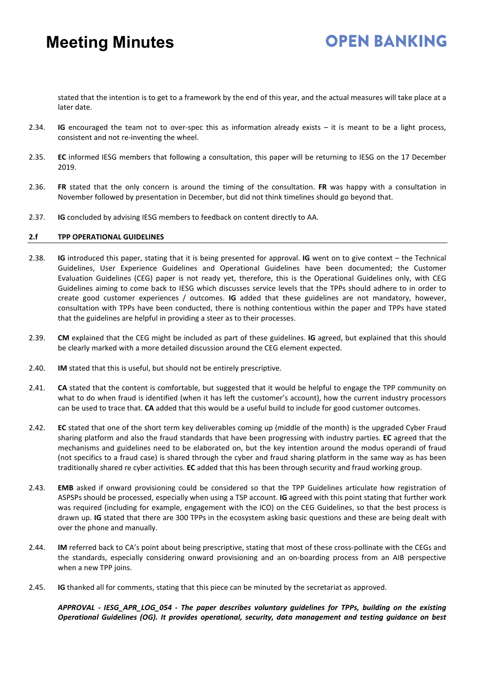### **OPEN RANKING**

stated that the intention is to get to a framework by the end of this year, and the actual measures will take place at a later date.

- 2.34. **IG** encouraged the team not to over-spec this as information already exists it is meant to be a light process, consistent and not re-inventing the wheel.
- 2.35. **EC** informed IESG members that following a consultation, this paper will be returning to IESG on the 17 December 2019.
- 2.36. **FR** stated that the only concern is around the timing of the consultation. **FR** was happy with a consultation in November followed by presentation in December, but did not think timelines should go beyond that.
- 2.37. **IG** concluded by advising IESG members to feedback on content directly to AA.

#### **2.f TPP OPERATIONAL GUIDELINES**

- 2.38. **IG** introduced this paper, stating that it is being presented for approval. **IG** went on to give context the Technical Guidelines, User Experience Guidelines and Operational Guidelines have been documented; the Customer Evaluation Guidelines (CEG) paper is not ready yet, therefore, this is the Operational Guidelines only, with CEG Guidelines aiming to come back to IESG which discusses service levels that the TPPs should adhere to in order to create good customer experiences / outcomes. **IG** added that these guidelines are not mandatory, however, consultation with TPPs have been conducted, there is nothing contentious within the paper and TPPs have stated that the guidelines are helpful in providing a steer as to their processes.
- 2.39. **CM** explained that the CEG might be included as part of these guidelines. **IG** agreed, but explained that this should be clearly marked with a more detailed discussion around the CEG element expected.
- 2.40. **IM** stated that this is useful, but should not be entirely prescriptive.
- 2.41. **CA** stated that the content is comfortable, but suggested that it would be helpful to engage the TPP community on what to do when fraud is identified (when it has left the customer's account), how the current industry processors can be used to trace that. **CA** added that this would be a useful build to include for good customer outcomes.
- 2.42. **EC** stated that one of the short term key deliverables coming up (middle of the month) is the upgraded Cyber Fraud sharing platform and also the fraud standards that have been progressing with industry parties. **EC** agreed that the mechanisms and guidelines need to be elaborated on, but the key intention around the modus operandi of fraud (not specifics to a fraud case) is shared through the cyber and fraud sharing platform in the same way as has been traditionally shared re cyber activities. **EC** added that this has been through security and fraud working group.
- 2.43. **EMB** asked if onward provisioning could be considered so that the TPP Guidelines articulate how registration of ASPSPs should be processed, especially when using a TSP account. **IG** agreed with this point stating that further work was required (including for example, engagement with the ICO) on the CEG Guidelines, so that the best process is drawn up. **IG** stated that there are 300 TPPs in the ecosystem asking basic questions and these are being dealt with over the phone and manually.
- 2.44. **IM** referred back to CA's point about being prescriptive, stating that most of these cross-pollinate with the CEGs and the standards, especially considering onward provisioning and an on-boarding process from an AIB perspective when a new TPP joins.
- 2.45. **IG** thanked all for comments, stating that this piece can be minuted by the secretariat as approved.

*APPROVAL - IESG\_APR\_LOG\_054 - The paper describes voluntary guidelines for TPPs, building on the existing Operational Guidelines (OG). It provides operational, security, data management and testing guidance on best*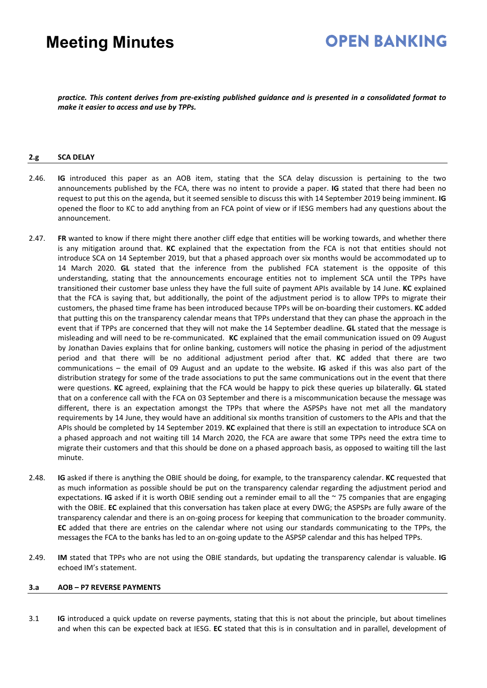# **OPEN BANKING**

*practice. This content derives from pre-existing published guidance and is presented in a consolidated format to make it easier to access and use by TPPs.*

#### **2.g SCA DELAY**

- 2.46. **IG** introduced this paper as an AOB item, stating that the SCA delay discussion is pertaining to the two announcements published by the FCA, there was no intent to provide a paper. **IG** stated that there had been no request to put this on the agenda, but it seemed sensible to discuss this with 14 September 2019 being imminent. **IG** opened the floor to KC to add anything from an FCA point of view or if IESG members had any questions about the announcement.
- 2.47. **FR** wanted to know if there might there another cliff edge that entities will be working towards, and whether there is any mitigation around that. **KC** explained that the expectation from the FCA is not that entities should not introduce SCA on 14 September 2019, but that a phased approach over six months would be accommodated up to 14 March 2020. **GL** stated that the inference from the published FCA statement is the opposite of this understanding, stating that the announcements encourage entities not to implement SCA until the TPPs have transitioned their customer base unless they have the full suite of payment APIs available by 14 June. **KC** explained that the FCA is saying that, but additionally, the point of the adjustment period is to allow TPPs to migrate their customers, the phased time frame has been introduced because TPPs will be on-boarding their customers. **KC** added that putting this on the transparency calendar means that TPPs understand that they can phase the approach in the event that if TPPs are concerned that they will not make the 14 September deadline. **GL** stated that the message is misleading and will need to be re-communicated. **KC** explained that the email communication issued on 09 August by Jonathan Davies explains that for online banking, customers will notice the phasing in period of the adjustment period and that there will be no additional adjustment period after that. **KC** added that there are two communications – the email of 09 August and an update to the website. **IG** asked if this was also part of the distribution strategy for some of the trade associations to put the same communications out in the event that there were questions. **KC** agreed, explaining that the FCA would be happy to pick these queries up bilaterally. **GL** stated that on a conference call with the FCA on 03 September and there is a miscommunication because the message was different, there is an expectation amongst the TPPs that where the ASPSPs have not met all the mandatory requirements by 14 June, they would have an additional six months transition of customers to the APIs and that the APIs should be completed by 14 September 2019. **KC** explained that there is still an expectation to introduce SCA on a phased approach and not waiting till 14 March 2020, the FCA are aware that some TPPs need the extra time to migrate their customers and that this should be done on a phased approach basis, as opposed to waiting till the last minute.
- 2.48. **IG** asked if there is anything the OBIE should be doing, for example, to the transparency calendar. **KC** requested that as much information as possible should be put on the transparency calendar regarding the adjustment period and expectations. **IG** asked if it is worth OBIE sending out a reminder email to all the ~ 75 companies that are engaging with the OBIE. **EC** explained that this conversation has taken place at every DWG; the ASPSPs are fully aware of the transparency calendar and there is an on-going process for keeping that communication to the broader community. **EC** added that there are entries on the calendar where not using our standards communicating to the TPPs, the messages the FCA to the banks has led to an on-going update to the ASPSP calendar and this has helped TPPs.
- 2.49. **IM** stated that TPPs who are not using the OBIE standards, but updating the transparency calendar is valuable. **IG** echoed IM's statement.

#### **3.a AOB – P7 REVERSE PAYMENTS**

3.1 **IG** introduced a quick update on reverse payments, stating that this is not about the principle, but about timelines and when this can be expected back at IESG. **EC** stated that this is in consultation and in parallel, development of